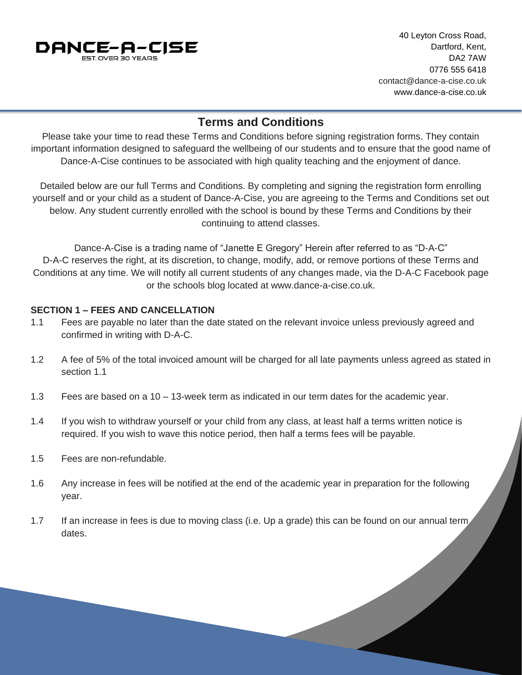

40 Leyton Cross Road, Dartford, Kent, DA2 7AW 0776 555 6418 [contact@dance-a-cise.co.uk](mailto:contact@dance-a-cise.co.uk) www.dance-a-cise.co.uk

# **Terms and Conditions**

Please take your time to read these Terms and Conditions before signing registration forms. They contain important information designed to safeguard the wellbeing of our students and to ensure that the good name of Dance-A-Cise continues to be associated with high quality teaching and the enjoyment of dance.

Detailed below are our full Terms and Conditions. By completing and signing the registration form enrolling yourself and or your child as a student of Dance-A-Cise, you are agreeing to the Terms and Conditions set out below. Any student currently enrolled with the school is bound by these Terms and Conditions by their continuing to attend classes.

Dance-A-Cise is a trading name of "Janette E Gregory" Herein after referred to as "D-A-C" D-A-C reserves the right, at its discretion, to change, modify, add, or remove portions of these Terms and Conditions at any time. We will notify all current students of any changes made, via the D-A-C Facebook page or the schools blog located at www.dance-a-cise.co.uk.

## **SECTION 1 – FEES AND CANCELLATION**

- 1.1 Fees are payable no later than the date stated on the relevant invoice unless previously agreed and confirmed in writing with D-A-C.
- 1.2 A fee of 5% of the total invoiced amount will be charged for all late payments unless agreed as stated in section 1.1
- 1.3 Fees are based on a 10 13-week term as indicated in our term dates for the academic year.
- 1.4 If you wish to withdraw yourself or your child from any class, at least half a terms written notice is required. If you wish to wave this notice period, then half a terms fees will be payable.
- 1.5 Fees are non-refundable.
- 1.6 Any increase in fees will be notified at the end of the academic year in preparation for the following year.
- 1.7 If an increase in fees is due to moving class (i.e. Up a grade) this can be found on our annual term dates.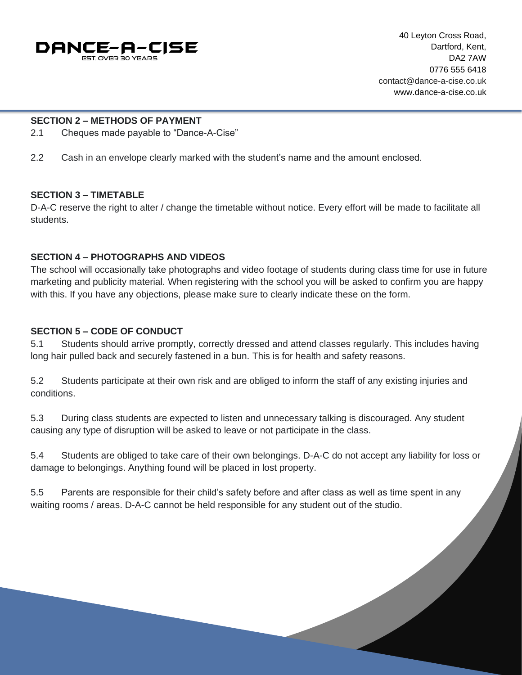

#### **SECTION 2 – METHODS OF PAYMENT**

2.1 Cheques made payable to "Dance-A-Cise"

2.2 Cash in an envelope clearly marked with the student's name and the amount enclosed.

### **SECTION 3 – TIMETABLE**

D-A-C reserve the right to alter / change the timetable without notice. Every effort will be made to facilitate all students.

#### **SECTION 4 – PHOTOGRAPHS AND VIDEOS**

The school will occasionally take photographs and video footage of students during class time for use in future marketing and publicity material. When registering with the school you will be asked to confirm you are happy with this. If you have any objections, please make sure to clearly indicate these on the form.

#### **SECTION 5 – CODE OF CONDUCT**

5.1 Students should arrive promptly, correctly dressed and attend classes regularly. This includes having long hair pulled back and securely fastened in a bun. This is for health and safety reasons.

5.2 Students participate at their own risk and are obliged to inform the staff of any existing injuries and conditions.

5.3 During class students are expected to listen and unnecessary talking is discouraged. Any student causing any type of disruption will be asked to leave or not participate in the class.

5.4 Students are obliged to take care of their own belongings. D-A-C do not accept any liability for loss or damage to belongings. Anything found will be placed in lost property.

5.5 Parents are responsible for their child's safety before and after class as well as time spent in any waiting rooms / areas. D-A-C cannot be held responsible for any student out of the studio.